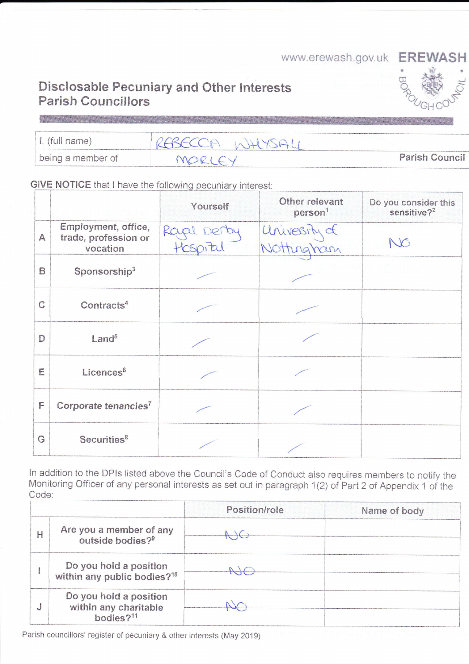www.erewash.gov.uk EREWASH

## **Disclosable Pecuniary and Other Interests Parish Councillors**

| (full name)       | $\sim$<br>$\mathcal{L}$ |                       |
|-------------------|-------------------------|-----------------------|
| being a member of |                         | <b>Parish Council</b> |

**GIVE NOTICE that I have the following pecuniary interest:** 

|                     |                                                         | Yourself   | Other relevant<br>person <sup>1</sup> | Do you consider this<br>sensitive? <sup>2</sup> |
|---------------------|---------------------------------------------------------|------------|---------------------------------------|-------------------------------------------------|
| A                   | Employment, office,<br>trade, profession or<br>vocation | Rape Derby | University of<br>gham                 | NG                                              |
| E                   | Sponsorship <sup>3</sup>                                |            |                                       |                                                 |
| C                   | Contracts <sup>4</sup>                                  |            |                                       |                                                 |
| D                   | Land <sup>5</sup>                                       |            |                                       |                                                 |
| E                   | Licences <sup>6</sup>                                   |            |                                       |                                                 |
| <b>The Contract</b> | Corporate tenancies <sup>7</sup>                        |            |                                       |                                                 |
| G                   | Securities <sup>8</sup>                                 |            |                                       |                                                 |

In addition to the DPIs listed above the Council's Code of Conduct also requires members to notify the Monitoring Officer of any personal interests as set out in paragraph 1(2) of Part 2 of Appendix 1 of the Code:

|                                                                       | Position/role | Name of body |
|-----------------------------------------------------------------------|---------------|--------------|
| Are you a member of any<br>outside bodies? <sup>9</sup>               |               |              |
| Do you hold a position<br>within any public bodies? <sup>10</sup>     |               |              |
| Do you hold a position<br>within any charitable<br>$b$ odies $2^{11}$ |               |              |

Parish councillors' register of pecuniary & other interests (May 2019)